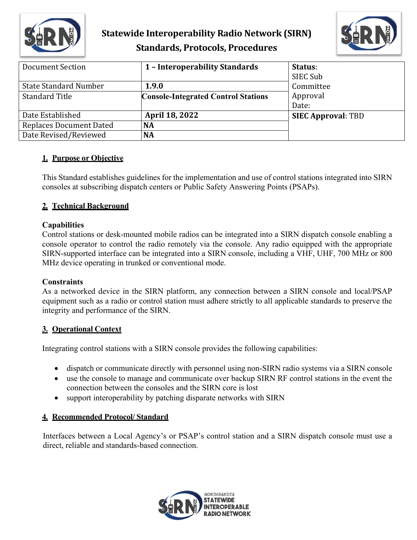

# **Statewide Interoperability Radio Network (SIRN) Standards, Protocols, Procedures**



| <b>Document Section</b>        | 1 - Interoperability Standards             | Status:<br>SIEC Sub       |
|--------------------------------|--------------------------------------------|---------------------------|
| <b>State Standard Number</b>   | 1.9.0                                      | Committee                 |
| <b>Standard Title</b>          | <b>Console-Integrated Control Stations</b> | Approval                  |
|                                |                                            | Date:                     |
| Date Established               | <b>April 18, 2022</b>                      | <b>SIEC Approval: TBD</b> |
| <b>Replaces Document Dated</b> | <b>NA</b>                                  |                           |
| Date Revised/Reviewed          | <b>NA</b>                                  |                           |

## **1. Purpose or Objective**

This Standard establishes guidelines for the implementation and use of control stations integrated into SIRN consoles at subscribing dispatch centers or Public Safety Answering Points (PSAPs).

# **2. Technical Background**

## **Capabilities**

Control stations or desk-mounted mobile radios can be integrated into a SIRN dispatch console enabling a console operator to control the radio remotely via the console. Any radio equipped with the appropriate SIRN-supported interface can be integrated into a SIRN console, including a VHF, UHF, 700 MHz or 800 MHz device operating in trunked or conventional mode.

#### **Constraints**

As a networked device in the SIRN platform, any connection between a SIRN console and local/PSAP equipment such as a radio or control station must adhere strictly to all applicable standards to preserve the integrity and performance of the SIRN.

## **3. Operational Context**

Integrating control stations with a SIRN console provides the following capabilities:

- dispatch or communicate directly with personnel using non-SIRN radio systems via a SIRN console
- use the console to manage and communicate over backup SIRN RF control stations in the event the connection between the consoles and the SIRN core is lost
- support interoperability by patching disparate networks with SIRN

## **4. Recommended Protocol/ Standard**

Interfaces between a Local Agency's or PSAP's control station and a SIRN dispatch console must use a direct, reliable and standards-based connection.